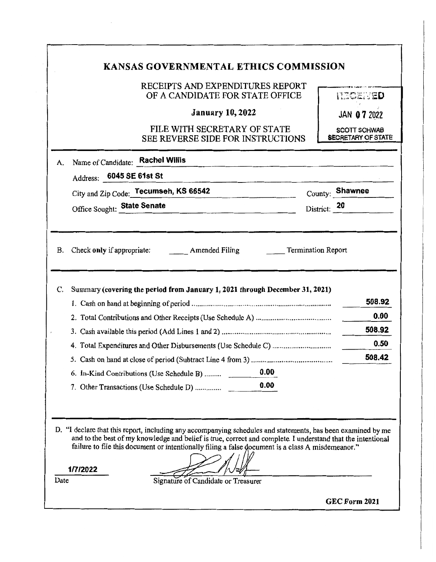# **KANSAS GOVERNMENTAL ETHICS COMMISSION**

### RECEIPTS AND EXPENDITURES REPORT OF A CANDIDATE FOR STATE OFFICE

|  |  | <b>INDOZIVED</b> |  |  |  |
|--|--|------------------|--|--|--|
|  |  |                  |  |  |  |

**January 10, 2022** 

### FILE WITH SECRETARY OF STATE SEE REVERSE SIDE FOR INSTRUCTIONS

JAN **07** 2Q22

**SCOTT SCHWAB SECRETARY OF STATE** 

|           | Address: 6045 SE 61st St<br>City and Zip Code: Tecumseh, KS 66542<br>the company of the company of the |              | County: Shawnee |                                  |
|-----------|--------------------------------------------------------------------------------------------------------|--------------|-----------------|----------------------------------|
|           | Office Sought: State Senate                                                                            | District: 20 |                 |                                  |
| <b>B.</b> | <b>Termination Report</b><br><b>Amended Filing</b><br>Check only if appropriate:                       |              |                 |                                  |
| C.        | Summary (covering the period from January 1, 2021 through December 31, 2021)                           |              |                 |                                  |
|           |                                                                                                        |              |                 | 508.92                           |
|           |                                                                                                        |              |                 |                                  |
|           |                                                                                                        |              |                 |                                  |
|           |                                                                                                        |              |                 |                                  |
|           |                                                                                                        |              |                 |                                  |
|           |                                                                                                        |              |                 | 0.00<br>508.92<br>0.50<br>508.42 |
|           | 0.00<br>6. In-Kind Contributions (Use Schedule B)                                                      |              |                 |                                  |

failure to file this document or intentionally filing a false document is a class A misdemeanor."

**1/7/2022** 

Signature of Candidate or Treasurer

**GEC Form 2021** 

Date